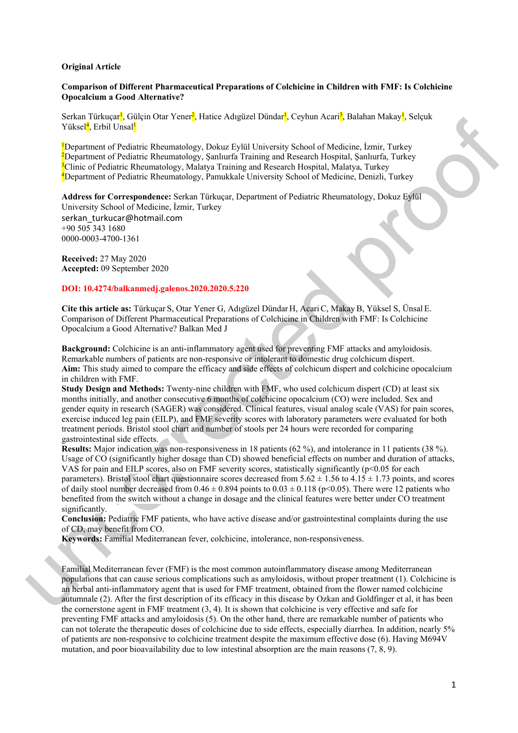#### **Original Article**

## **Comparison of Different Pharmaceutical Preparations of Colchicine in Children with FMF: Is Colchicine Opocalcium a Good Alternative?**

Serkan Türkuçar<sup>ı</sup>, Gülçin Otar Yener<sup>2</sup>, Hatice Adıgüzel Dündar<sup>ı</sup>, Ceyhun Acari<sup>3</sup>, Balahan Makay<sup>ı</sup>, Selçuk Yüksel<mark><sup>4</sup>, Erbil Unsal<sup>1</sup></mark>

**Department of Pediatric Rheumatology, Dokuz Eylül University School of Medicine, İzmir, Turkey**<br>2Department of Pediatric Rheumatology, Sanluurfa Training and Research Hospital, Sanluurfa Turkey Department of Pediatric Rheumatology, Şanlıurfa Training and Research Hospital, Şanlıurfa, Turkey <sup>3</sup> Clinic of Pediatric Rheumatology, Malatya Training and Research Hospital, Malatya, Turkey<br><sup>4</sup> Department of Pediatric Rheumatology, Pamukkala University School of Medicine, Depizli <sup>4</sup>Department of Pediatric Rheumatology, Pamukkale University School of Medicine, Denizli, Turkey

**Address for Correspondence:** Serkan Türkuçar, Department of Pediatric Rheumatology, Dokuz Eylül University School of Medicine, İzmir, Turkey

serkan\_turkucar@hotmail.com +90 505 343 1680 0000-0003-4700-1361

**Received:** 27 May 2020 **Accepted:** 09 September 2020

## **DOI: 10.4274/balkanmedj.galenos.2020.2020.5.220**

**Cite this article as:** Türkuçar S, Otar Yener G, Adıgüzel Dündar H, AcariC, MakayB, Yüksel S, Ünsal E. Comparison of Different Pharmaceutical Preparations of Colchicine in Children with FMF: Is Colchicine Opocalcium a Good Alternative? Balkan Med J

**Background:** Colchicine is an anti-inflammatory agent used for preventing FMF attacks and amyloidosis. Remarkable numbers of patients are non-responsive or intolerant to domestic drug colchicum dispert. **Aim:** This study aimed to compare the efficacy and side effects of colchicum dispert and colchicine opocalcium in children with FMF.

**Study Design and Methods:** Twenty-nine children with FMF, who used colchicum dispert (CD) at least six months initially, and another consecutive 6 months of colchicine opocalcium (CO) were included. Sex and gender equity in research (SAGER) was considered. Clinical features, visual analog scale (VAS) for pain scores, exercise induced leg pain (EILP), and FMF severity scores with laboratory parameters were evaluated for both treatment periods. Bristol stool chart and number of stools per 24 hours were recorded for comparing gastrointestinal side effects.

Series discusses of Delainer General Interest Adjetes Densine, Copius Anim, Islamin Musicy, Series<br>
Value of Mediator (Mediator Research), DAMate hydrodical Delainers School of Mediator, Lenin, Luikey<br>
Department of Pedia **Results:** Major indication was non-responsiveness in 18 patients (62 %), and intolerance in 11 patients (38 %). Usage of CO (significantly higher dosage than CD) showed beneficial effects on number and duration of attacks, VAS for pain and EILP scores, also on FMF severity scores, statistically significantly ( $p<0.05$  for each parameters). Bristol stool chart questionnaire scores decreased from  $5.62 \pm 1.56$  to  $4.15 \pm 1.73$  points, and scores of daily stool number decreased from  $0.46 \pm 0.894$  points to  $0.03 \pm 0.118$  (p<0.05). There were 12 patients who benefited from the switch without a change in dosage and the clinical features were better under CO treatment significantly.

**Conclusion:** Pediatric FMF patients, who have active disease and/or gastrointestinal complaints during the use of CD, may benefit from CO.

**Keywords:** Familial Mediterranean fever, colchicine, intolerance, non-responsiveness.

Familial Mediterranean fever (FMF) is the most common autoinflammatory disease among Mediterranean populations that can cause serious complications such as amyloidosis, without proper treatment (1). Colchicine is an herbal anti-inflammatory agent that is used for FMF treatment, obtained from the flower named colchicine autumnale (2). After the first description of its efficacy in this disease by Ozkan and Goldfinger et al, it has been the cornerstone agent in FMF treatment  $(3, 4)$ . It is shown that colchicine is very effective and safe for preventing FMF attacks and amyloidosis (5). On the other hand, there are remarkable number of patients who can not tolerate the therapeutic doses of colchicine due to side effects, especially diarrhea. In addition, nearly 5% of patients are non-responsive to colchicine treatment despite the maximum effective dose (6). Having M694V mutation, and poor bioavailability due to low intestinal absorption are the main reasons (7, 8, 9).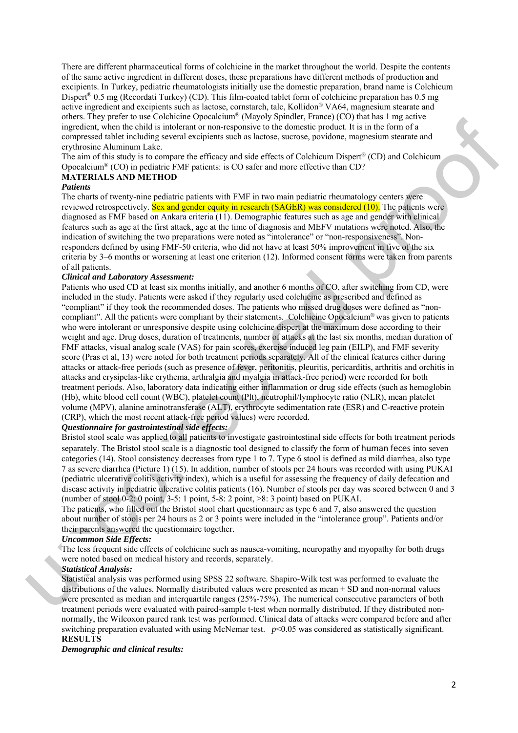There are different pharmaceutical forms of colchicine in the market throughout the world. Despite the contents of the same active ingredient in different doses, these preparations have different methods of production and excipients. In Turkey, pediatric rheumatologists initially use the domestic preparation, brand name is Colchicum Dispert® 0.5 mg (Recordati Turkey) (CD). This film-coated tablet form of colchicine preparation has 0.5 mg active ingredient and excipients such as lactose, cornstarch, talc, Kollidon® VA64, magnesium stearate and others. They prefer to use Colchicine Opocalcium® (Mayoly Spindler, France) (CO) that has 1 mg active ingredient, when the child is intolerant or non-responsive to the domestic product. It is in the form of a compressed tablet including several excipients such as lactose, sucrose, povidone, magnesium stearate and erythrosine Aluminum Lake.

The aim of this study is to compare the efficacy and side effects of Colchicum Dispert® (CD) and Colchicum Opocalcium® (CO) in pediatric FMF patients: is CO safer and more effective than CD?

# **MATERIALS AND METHOD**

## *Patients*

The charts of twenty-nine pediatric patients with FMF in two main pediatric rheumatology centers were reviewed retrospectively. Sex and gender equity in research (SAGER) was considered (10). The patients were diagnosed as FMF based on Ankara criteria (11). Demographic features such as age and gender with clinical features such as age at the first attack, age at the time of diagnosis and MEFV mutations were noted. Also, the indication of switching the two preparations were noted as "intolerance" or "non-responsiveness". Nonresponders defined by using FMF-50 criteria, who did not have at least 50% improvement in five of the six criteria by 3–6 months or worsening at least one criterion (12). Informed consent forms were taken from parents of all patients.

## *Clinical and Laboratory Assessment:*

etest. Univ present to use Collaborate Copystane" (Minyto yaptack - times a present to the line at the state in the state of the state in the state of the state in the state of the state of the state of the state of the st Patients who used CD at least six months initially, and another 6 months of CO, after switching from CD, were included in the study. Patients were asked if they regularly used colchicine as prescribed and defined as "compliant" if they took the recommended doses. The patients who missed drug doses were defined as "noncompliant". All the patients were compliant by their statements. Colchicine Opocalcium® was given to patients who were intolerant or unresponsive despite using colchicine dispert at the maximum dose according to their weight and age. Drug doses, duration of treatments, number of attacks at the last six months, median duration of FMF attacks, visual analog scale (VAS) for pain scores, exercise induced leg pain (EILP), and FMF severity score (Pras et al, 13) were noted for both treatment periods separately. All of the clinical features either during attacks or attack-free periods (such as presence of fever, peritonitis, pleuritis, pericarditis, arthritis and orchitis in attacks and erysipelas-like erythema, arthralgia and myalgia in attack-free period) were recorded for both treatment periods. Also, laboratory data indicating either inflammation or drug side effects (such as hemoglobin (Hb), white blood cell count (WBC), platelet count (Plt), neutrophil/lymphocyte ratio (NLR), mean platelet volume (MPV), alanine aminotransferase (ALT), erythrocyte sedimentation rate (ESR) and C-reactive protein (CRP), which the most recent attack-free period values) were recorded.

## *Questionnaire for gastrointestinal side effects:*

Bristol stool scale was applied to all patients to investigate gastrointestinal side effects for both treatment periods separately. The Bristol stool scale is a diagnostic tool designed to classify the form of human feces into seven categories (14). Stool consistency decreases from type 1 to 7. Type 6 stool is defined as mild diarrhea, also type 7 as severe diarrhea (Picture 1) (15). In addition, number of stools per 24 hours was recorded with using PUKAI (pediatric ulcerative colitis activity index), which is a useful for assessing the frequency of daily defecation and disease activity in pediatric ulcerative colitis patients (16). Number of stools per day was scored between 0 and 3 (number of stool 0-2: 0 point, 3-5: 1 point, 5-8: 2 point, >8: 3 point) based on PUKAI.

The patients, who filled out the Bristol stool chart questionnaire as type 6 and 7, also answered the question about number of stools per 24 hours as 2 or 3 points were included in the "intolerance group". Patients and/or their parents answered the questionnaire together.

## *Uncommon Side Effects:*

The less frequent side effects of colchicine such as nausea-vomiting, neuropathy and myopathy for both drugs were noted based on medical history and records, separately.

#### *Statistical Analysis:*

Statistical analysis was performed using SPSS 22 software. Shapiro-Wilk test was performed to evaluate the distributions of the values. Normally distributed values were presented as mean  $\pm$  SD and non-normal values were presented as median and interquartile ranges (25%-75%). The numerical consecutive parameters of both treatment periods were evaluated with paired-sample t-test when normally distributed. If they distributed nonnormally, the Wilcoxon paired rank test was performed. Clinical data of attacks were compared before and after switching preparation evaluated with using McNemar test. *p*<0.05 was considered as statistically significant. **RESULTS** 

*Demographic and clinical results:*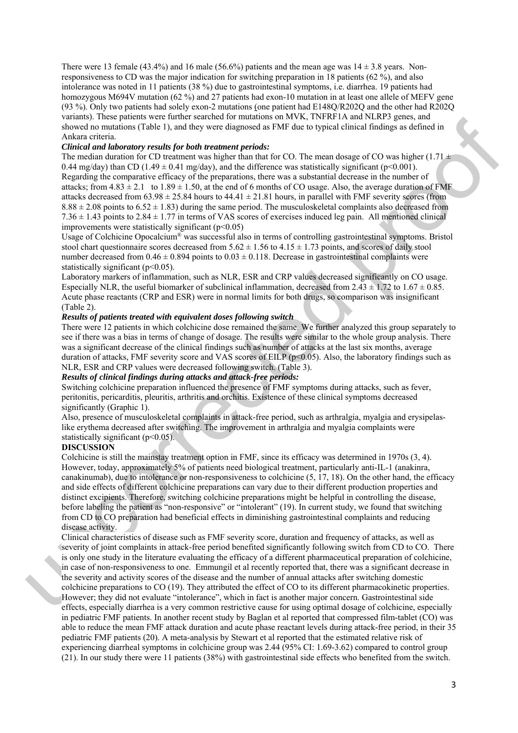There were 13 female (43.4%) and 16 male (56.6%) patients and the mean age was  $14 \pm 3.8$  years. Nonresponsiveness to CD was the major indication for switching preparation in 18 patients (62 %), and also intolerance was noted in 11 patients (38 %) due to gastrointestinal symptoms, i.e. diarrhea. 19 patients had homozygous M694V mutation (62 %) and 27 patients had exon-10 mutation in at least one allele of MEFV gene (93 %). Only two patients had solely exon-2 mutations (one patient had E148Q/R202Q and the other had R202Q variants). These patients were further searched for mutations on MVK, TNFRF1A and NLRP3 genes, and showed no mutations (Table 1), and they were diagnosed as FMF due to typical clinical findings as defined in Ankara criteria.

## *Clinical and laboratory results for both treatment periods:*

The median duration for CD treatment was higher than that for CO. The mean dosage of CO was higher (1.71  $\pm$ 0.44 mg/day) than CD (1.49  $\pm$  0.41 mg/day), and the difference was statistically significant (p<0.001). Regarding the comparative efficacy of the preparations, there was a substantial decrease in the number of attacks; from  $4.83 \pm 2.1$  to  $1.89 \pm 1.50$ , at the end of 6 months of CO usage. Also, the average duration of FMF attacks decreased from  $63.98 \pm 25.84$  hours to  $44.41 \pm 21.81$  hours, in parallel with FMF severity scores (from  $8.88 \pm 2.08$  points to  $6.52 \pm 1.83$ ) during the same period. The musculoskeletal complaints also decreased from  $7.36 \pm 1.43$  points to  $2.84 \pm 1.77$  in terms of VAS scores of exercises induced leg pain. All mentioned clinical improvements were statistically significant  $(p<0.05)$ 

Usage of Colchicine Opocalcium® was successful also in terms of controlling gastrointestinal symptoms. Bristol stool chart questionnaire scores decreased from  $5.62 \pm 1.56$  to  $4.15 \pm 1.73$  points, and scores of daily stool number decreased from  $0.46 \pm 0.894$  points to  $0.03 \pm 0.118$ . Decrease in gastrointestinal complaints were statistically significant  $(p<0.05)$ .

Laboratory markers of inflammation, such as NLR, ESR and CRP values decreased significantly on CO usage. Especially NLR, the useful biomarker of subclinical inflammation, decreased from  $2.43 \pm 1.72$  to  $1.67 \pm 0.85$ . Acute phase reactants (CRP and ESR) were in normal limits for both drugs, so comparison was insignificant (Table 2).

## *Results of patients treated with equivalent doses following switch*

There were 12 patients in which colchicine dose remained the same. We further analyzed this group separately to see if there was a bias in terms of change of dosage. The results were similar to the whole group analysis. There was a significant decrease of the clinical findings such as number of attacks at the last six months, average duration of attacks, FMF severity score and VAS scores of EILP (p<0.05). Also, the laboratory findings such as NLR, ESR and CRP values were decreased following switch. (Table 3).

## *Results of clinical findings during attacks and attack-free periods:*

Switching colchicine preparation influenced the presence of FMF symptoms during attacks, such as fever, peritonitis, pericarditis, pleuritis, arthritis and orchitis. Existence of these clinical symptoms decreased significantly (Graphic 1).

Also, presence of musculoskeletal complaints in attack-free period, such as arthralgia, myalgia and erysipelaslike erythema decreased after switching. The improvement in arthralgia and myalgia complaints were statistically significant (p<0.05).

#### **DISCUSSION**

vanima). Dese partenes were minder sureles that were the proof of the third is a controlled to the controlled proof of the controlled proof of the controlled proof of the controlled proof of the controlled proof of the co Colchicine is still the mainstay treatment option in FMF, since its efficacy was determined in 1970s (3, 4). However, today, approximately 5% of patients need biological treatment, particularly anti-IL-1 (anakinra, canakinumab), due to intolerance or non-responsiveness to colchicine (5, 17, 18). On the other hand, the efficacy and side effects of different colchicine preparations can vary due to their different production properties and distinct excipients. Therefore, switching colchicine preparations might be helpful in controlling the disease, before labeling the patient as "non-responsive" or "intolerant" (19). In current study, we found that switching from CD to CO preparation had beneficial effects in diminishing gastrointestinal complaints and reducing disease activity.

Clinical characteristics of disease such as FMF severity score, duration and frequency of attacks, as well as severity of joint complaints in attack-free period benefited significantly following switch from CD to CO. There is only one study in the literature evaluating the efficacy of a different pharmaceutical preparation of colchicine, in case of non-responsiveness to one. Emmungil et al recently reported that, there was a significant decrease in the severity and activity scores of the disease and the number of annual attacks after switching domestic colchicine preparations to CO (19). They attributed the effect of CO to its different pharmacokinetic properties. However; they did not evaluate "intolerance", which in fact is another major concern. Gastrointestinal side effects, especially diarrhea is a very common restrictive cause for using optimal dosage of colchicine, especially in pediatric FMF patients. In another recent study by Baglan et al reported that compressed film-tablet (CO) was able to reduce the mean FMF attack duration and acute phase reactant levels during attack-free period, in their 35 pediatric FMF patients (20). A meta-analysis by Stewart et al reported that the estimated relative risk of experiencing diarrheal symptoms in colchicine group was 2.44 (95% CI: 1.69-3.62) compared to control group (21). In our study there were 11 patients (38%) with gastrointestinal side effects who benefited from the switch.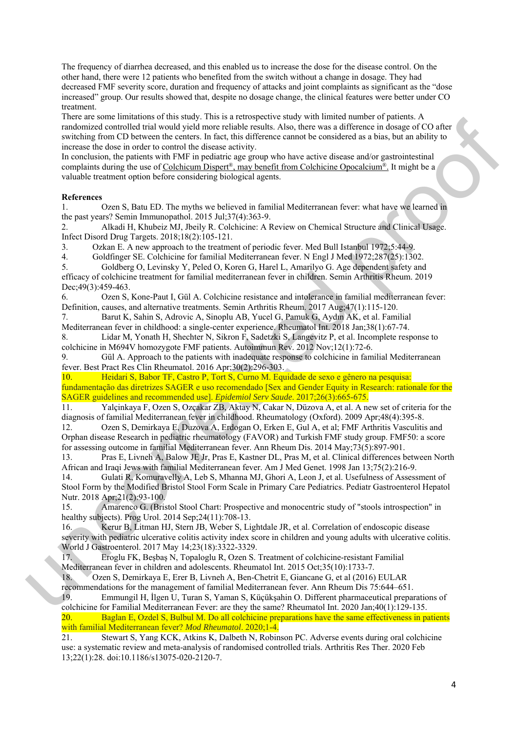The frequency of diarrhea decreased, and this enabled us to increase the dose for the disease control. On the other hand, there were 12 patients who benefited from the switch without a change in dosage. They had decreased FMF severity score, duration and frequency of attacks and joint complaints as significant as the "dose increased" group. Our results showed that, despite no dosage change, the clinical features were better under CO treatment.

There are noted to the state of the state of the state of the state of the state of the state of the state of the state of the state of the state of the state of the state of the state of the state of the state of the sta There are some limitations of this study. This is a retrospective study with limited number of patients. A randomized controlled trial would yield more reliable results. Also, there was a difference in dosage of CO after switching from CD between the centers. In fact, this difference cannot be considered as a bias, but an ability to increase the dose in order to control the disease activity.

In conclusion, the patients with FMF in pediatric age group who have active disease and/or gastrointestinal complaints during the use of Colchicum Dispert®, may benefit from Colchicine Opocalcium®. It might be a valuable treatment option before considering biological agents.

## **References**

1. Ozen S, Batu ED. The myths we believed in familial Mediterranean fever: what have we learned in the past years? Semin Immunopathol. 2015 Jul;37(4):363-9.

2. Alkadi H, Khubeiz MJ, Jbeily R. Colchicine: A Review on Chemical Structure and Clinical Usage. Infect Disord Drug Targets. 2018;18(2):105-121.

3. Ozkan E. A new approach to the treatment of periodic fever. Med Bull Istanbul 1972;5:44-9.

4. Goldfinger SE. Colchicine for familial Mediterranean fever. N Engl J Med 1972;287(25):1302.

5. Goldberg O, Levinsky Y, Peled O, Koren G, Harel L, Amarilyo G. Age dependent safety and efficacy of colchicine treatment for familial mediterranean fever in children. Semin Arthritis Rheum. 2019 Dec; 49(3): 459-463.

6. Ozen S, Kone-Paut I, Gül A. Colchicine resistance and intolerance in familial mediterranean fever: Definition, causes, and alternative treatments. Semin Arthritis Rheum. 2017 Aug;47(1):115-120.

7. Barut K, Sahin S, Adrovic A, Sinoplu AB, Yucel G, Pamuk G, Aydın AK, et al. Familial Mediterranean fever in childhood: a single-center experience. Rheumatol Int. 2018 Jan;38(1):67-74.

8. Lidar M, Yonath H, Shechter N, Sikron F, Sadetzki S, Langevitz P, et al. Incomplete response to colchicine in M694V homozygote FMF patients. Autoimmun Rev. 2012 Nov;12(1):72-6.

9. Gül A. Approach to the patients with inadequate response to colchicine in familial Mediterranean fever. Best Pract Res Clin Rheumatol. 2016 Apr;30(2):296-303.

10. Heidari S, Babor TF, Castro P, Tort S, Curno M. Equidade de sexo e gênero na pesquisa: fundamentação das diretrizes SAGER e uso recomendado [Sex and Gender Equity in Research: rationale for the SAGER guidelines and recommended use]. *Epidemiol Serv Saude*. 2017;26(3):665-675.

11. Yalçinkaya F, Ozen S, Ozçakar ZB, Aktay N, Cakar N, Düzova A, et al. A new set of criteria for the diagnosis of familial Mediterranean fever in childhood. Rheumatology (Oxford). 2009 Apr;48(4):395-8.

12. Ozen S, Demirkaya E, Duzova A, Erdogan O, Erken E, Gul A, et al; FMF Arthritis Vasculitis and Orphan disease Research in pediatric rheumatology (FAVOR) and Turkish FMF study group. FMF50: a score for assessing outcome in familial Mediterranean fever. Ann Rheum Dis. 2014 May;73(5):897-901.

13. Pras E, Livneh A, Balow JE Jr, Pras E, Kastner DL, Pras M, et al. Clinical differences between North African and Iraqi Jews with familial Mediterranean fever. Am J Med Genet. 1998 Jan 13;75(2):216-9.

14. Gulati R, Komuravelly A, Leb S, Mhanna MJ, Ghori A, Leon J, et al. Usefulness of Assessment of Stool Form by the Modified Bristol Stool Form Scale in Primary Care Pediatrics. Pediatr Gastroenterol Hepatol Nutr. 2018 Apr;21(2):93-100.

15. Amarenco G. (Bristol Stool Chart: Prospective and monocentric study of "stools introspection" in healthy subjects). Prog Urol. 2014 Sep;24(11):708-13.

16. Kerur B, Litman HJ, Stern JB, Weber S, Lightdale JR, et al. Correlation of endoscopic disease severity with pediatric ulcerative colitis activity index score in children and young adults with ulcerative colitis. World J Gastroenterol. 2017 May 14;23(18):3322-3329.

17. Eroglu FK, Beşbaş N, Topaloglu R, Ozen S. Treatment of colchicine-resistant Familial Mediterranean fever in children and adolescents. Rheumatol Int. 2015 Oct;35(10):1733-7.

18. Ozen S, Demirkaya E, Erer B, Livneh A, Ben-Chetrit E, Giancane G, et al (2016) EULAR recommendations for the management of familial Mediterranean fever. Ann Rheum Dis 75:644–651.

19. Emmungil H, İlgen U, Turan S, Yaman S, Küçükşahin O. Different pharmaceutical preparations of colchicine for Familial Mediterranean Fever: are they the same? Rheumatol Int. 2020 Jan;40(1):129-135. 20. Baglan E, Ozdel S, Bulbul M. Do all colchicine preparations have the same effectiveness in patients with familial Mediterranean fever? *Mod Rheumatol*. 2020;1-4.

21. Stewart S, Yang KCK, Atkins K, Dalbeth N, Robinson PC. Adverse events during oral colchicine use: a systematic review and meta-analysis of randomised controlled trials. Arthritis Res Ther. 2020 Feb 13;22(1):28. doi:10.1186/s13075-020-2120-7.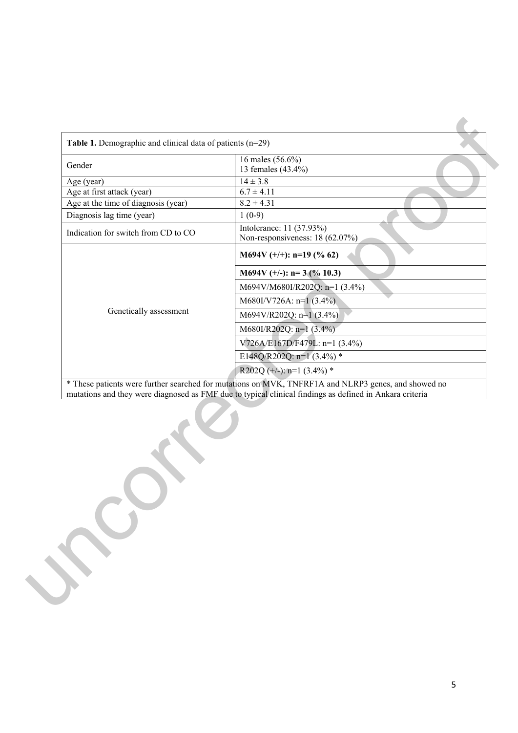| Gender                              | 16 males (56.6%)<br>13 females (43.4%)                                                                  |  |  |  |
|-------------------------------------|---------------------------------------------------------------------------------------------------------|--|--|--|
| Age (year)                          | $14 \pm 3.8$                                                                                            |  |  |  |
| Age at first attack (year)          | $6.7 \pm 4.11$                                                                                          |  |  |  |
| Age at the time of diagnosis (year) | $8.2 \pm 4.31$                                                                                          |  |  |  |
| Diagnosis lag time (year)           | $1(0-9)$                                                                                                |  |  |  |
| Indication for switch from CD to CO | Intolerance: 11 (37.93%)<br>Non-responsiveness: 18 (62.07%)                                             |  |  |  |
|                                     | M694V $(+/+)$ : n=19 (% 62)                                                                             |  |  |  |
|                                     | M694V (+/-): $n=3$ (% 10.3)                                                                             |  |  |  |
|                                     | M694V/M680I/R202Q: n=1 (3.4%)                                                                           |  |  |  |
|                                     | $M680I/V726A$ : n=1 (3.4%)                                                                              |  |  |  |
| Genetically assessment              | M694V/R202Q: $n=1$ (3.4%)                                                                               |  |  |  |
|                                     | M680I/R202Q: $n=1$ (3.4%)                                                                               |  |  |  |
|                                     | V726A/E167D/F479L: n=1 (3.4%)                                                                           |  |  |  |
|                                     | E148Q/R202Q: n=1 (3.4%) *                                                                               |  |  |  |
|                                     | R202Q (+/-): $n=1$ (3.4%) *                                                                             |  |  |  |
|                                     | * These patients were further searched for mutations on MVK, TNFRF1A and NLRP3 genes, and showed no     |  |  |  |
|                                     | mutations and they were diagnosed as FMF due to typical clinical findings as defined in Ankara criteria |  |  |  |
|                                     |                                                                                                         |  |  |  |
|                                     |                                                                                                         |  |  |  |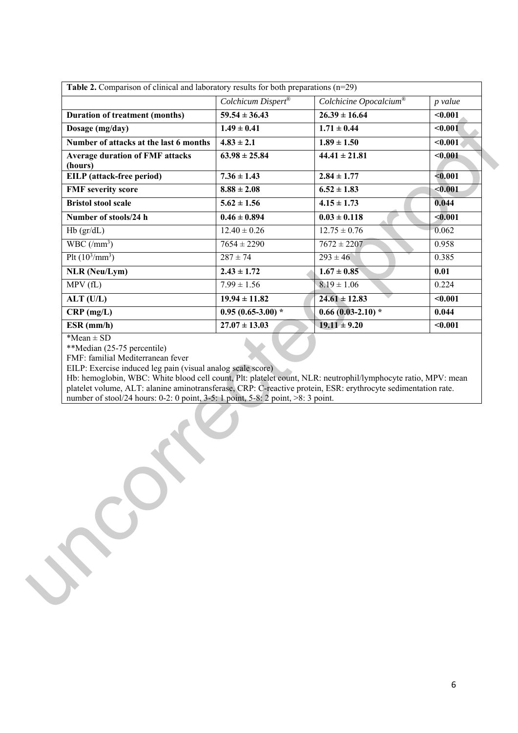|                                                                                                                                                                                                                                                                                                                                                                                                                                                                                         | Colchicum Dispert® | Colchicine Opocalcium® | p value |
|-----------------------------------------------------------------------------------------------------------------------------------------------------------------------------------------------------------------------------------------------------------------------------------------------------------------------------------------------------------------------------------------------------------------------------------------------------------------------------------------|--------------------|------------------------|---------|
| <b>Duration of treatment (months)</b>                                                                                                                                                                                                                                                                                                                                                                                                                                                   | $59.54 \pm 36.43$  | $26.39 \pm 16.64$      | $0.001$ |
| Dosage (mg/day)                                                                                                                                                                                                                                                                                                                                                                                                                                                                         | $1.49 \pm 0.41$    | $1.71 \pm 0.44$        | $0.001$ |
| Number of attacks at the last 6 months                                                                                                                                                                                                                                                                                                                                                                                                                                                  | $4.83 \pm 2.1$     | $1.89 \pm 1.50$        | $0.001$ |
| <b>Average duration of FMF attacks</b><br>(hours)                                                                                                                                                                                                                                                                                                                                                                                                                                       | $63.98 \pm 25.84$  | $44.41 \pm 21.81$      | $0.001$ |
| <b>EILP</b> (attack-free period)                                                                                                                                                                                                                                                                                                                                                                                                                                                        | $7.36 \pm 1.43$    | $2.84 \pm 1.77$        | $0.001$ |
| <b>FMF</b> severity score                                                                                                                                                                                                                                                                                                                                                                                                                                                               | $8.88 \pm 2.08$    | $6.52 \pm 1.83$        | $0.001$ |
| <b>Bristol stool scale</b>                                                                                                                                                                                                                                                                                                                                                                                                                                                              | $5.62 \pm 1.56$    | $4.15 \pm 1.73$        | 0.044   |
| Number of stools/24 h                                                                                                                                                                                                                                                                                                                                                                                                                                                                   | $0.46 \pm 0.894$   | $0.03 \pm 0.118$       | $0.001$ |
| $Hb$ ( $gr/dL$ )                                                                                                                                                                                                                                                                                                                                                                                                                                                                        | $12.40 \pm 0.26$   | $12.75 \pm 0.76$       | 0.062   |
| $WBC/(mm^3)$                                                                                                                                                                                                                                                                                                                                                                                                                                                                            | $7654 \pm 2290$    | $7672 \pm 2207$        | 0.958   |
| Plt $(10^3/\text{mm}^3)$                                                                                                                                                                                                                                                                                                                                                                                                                                                                | $287 \pm 74$       | $293 \pm 46$           | 0.385   |
| <b>NLR</b> (Neu/Lym)                                                                                                                                                                                                                                                                                                                                                                                                                                                                    | $2.43 \pm 1.72$    | $1.67 \pm 0.85$        | 0.01    |
| MPV(fL)                                                                                                                                                                                                                                                                                                                                                                                                                                                                                 | $7.99 \pm 1.56$    | $8.19 \pm 1.06$        | 0.224   |
| $ALT$ (U/L)                                                                                                                                                                                                                                                                                                                                                                                                                                                                             | $19.94 \pm 11.82$  | $24.61 \pm 12.83$      | $0.001$ |
| $CRP$ (mg/L)                                                                                                                                                                                                                                                                                                                                                                                                                                                                            | $0.95(0.65-3.00)*$ | $0.66(0.03-2.10)*$     | 0.044   |
|                                                                                                                                                                                                                                                                                                                                                                                                                                                                                         |                    |                        |         |
|                                                                                                                                                                                                                                                                                                                                                                                                                                                                                         | $27.07 \pm 13.03$  | $19.11 \pm 9.20$       | $0.001$ |
| $ESR$ (mm/h)<br>$*Mean \pm SD$<br>**Median (25-75 percentile)<br>FMF: familial Mediterranean fever<br>EILP: Exercise induced leg pain (visual analog scale score)<br>Hb: hemoglobin, WBC: White blood cell count, Plt: platelet count, NLR: neutrophil/lymphocyte ratio, MPV: mean<br>platelet volume, ALT: alanine aminotransferase, CRP: C-reactive protein, ESR: erythrocyte sedimentation rate.<br>number of stool/24 hours: 0-2: 0 point, 3-5: 1 point, 5-8: 2 point, >8: 3 point. |                    |                        |         |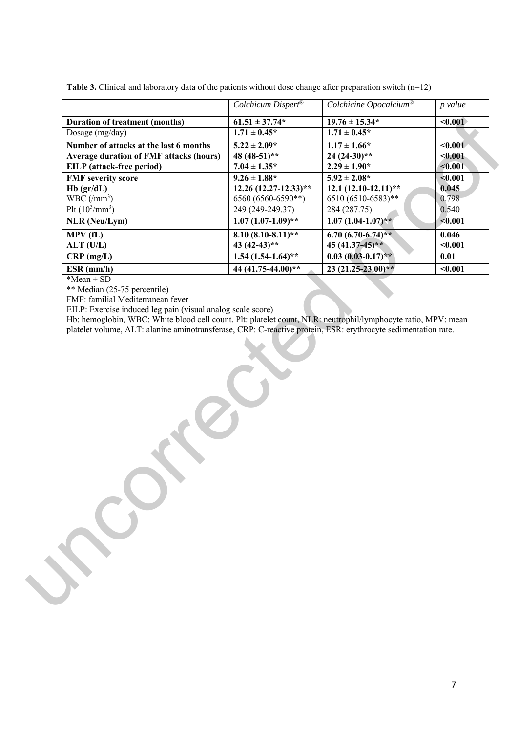|                                                                                                                                                                              | Colchicum Dispert®    | Colchicine Opocalcium®      | p value |
|------------------------------------------------------------------------------------------------------------------------------------------------------------------------------|-----------------------|-----------------------------|---------|
| <b>Duration of treatment (months)</b>                                                                                                                                        | $61.51 \pm 37.74*$    | $19.76 \pm 15.34*$          | < 0.001 |
| Dosage (mg/day)                                                                                                                                                              | $1.71 \pm 0.45*$      | $1.71 \pm 0.45^*$           |         |
| Number of attacks at the last 6 months                                                                                                                                       | $5.22 \pm 2.09*$      | $1.17 \pm 1.66*$            | $0.001$ |
| <b>Average duration of FMF attacks (hours)</b>                                                                                                                               | 48 (48-51)**          | $24(24-30)*$                | < 0.001 |
| EILP (attack-free period)                                                                                                                                                    | $7.04 \pm 1.35^*$     | $2.29 \pm 1.90*$            | < 0.001 |
| <b>FMF</b> severity score                                                                                                                                                    | $9.26 \pm 1.88^*$     | $5.92 \pm 2.08*$            | $0.001$ |
| $Hb$ (gr/dL)                                                                                                                                                                 | 12.26 (12.27-12.33)** | $12.1 (12.10 - 12.11)^{**}$ | 0.045   |
| WBC $(\text{/mm}^3)$                                                                                                                                                         | 6560 (6560-6590**)    | $6510 (6510-6583)**$        | 0.798   |
| Plt $(10^3/\text{mm}^3)$                                                                                                                                                     | 249 (249-249.37)      | 284 (287.75)                | 0.540   |
| <b>NLR</b> (Neu/Lym)                                                                                                                                                         | $1.07(1.07-1.09)**$   | $1.07(1.04-1.07)**$         | < 0.001 |
| MPV (fL)                                                                                                                                                                     | $8.10(8.10-8.11)*$    | 6.70 $(6.70 - 6.74)$ **     | 0.046   |
| $ALT$ (U/L)                                                                                                                                                                  | 43 $(42-43)**$        | $45(41.37-45)*$             | $0.001$ |
| $CRP$ (mg/L)                                                                                                                                                                 | $1.54(1.54-1.64)$ **  | $0.03(0.03-0.17)*$          | 0.01    |
| $ESR$ (mm/h)                                                                                                                                                                 | 44 (41.75-44.00)**    | $23(21.25-23.00)**$         | $0.001$ |
|                                                                                                                                                                              |                       |                             |         |
|                                                                                                                                                                              |                       |                             |         |
|                                                                                                                                                                              |                       |                             |         |
|                                                                                                                                                                              |                       |                             |         |
|                                                                                                                                                                              |                       |                             |         |
|                                                                                                                                                                              |                       |                             |         |
|                                                                                                                                                                              |                       |                             |         |
| EILP: Exercise induced leg pain (visual analog scale score)<br>Hb: hemoglobin, WBC: White blood cell count, Plt: platelet count, NLR: neutrophil/lymphocyte ratio, MPV: mean |                       |                             |         |
| platelet volume, ALT: alanine aminotransferase, CRP: C-reactive protein, ESR: erythrocyte sedimentation rate.                                                                |                       |                             |         |
|                                                                                                                                                                              |                       |                             |         |

7